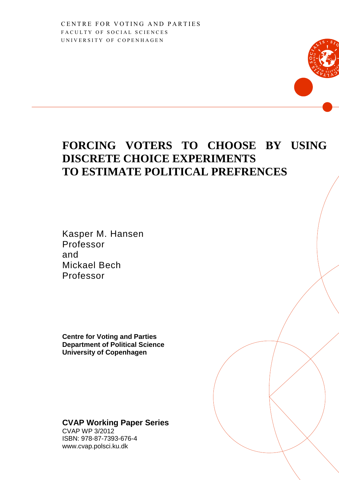## **FORCING VOTERS TO CHOOSE BY USING DISCRETE CHOICE EXPERIMENTS TO ESTIMATE POLITICAL PREFRENCES**

Kasper M. Hansen Professor and Mickael Bech Professor

**Centre for Voting and Parties Department of Political Science University of Copenhagen**

### **CVAP Working Paper Series**

CVAP WP 3/2012 ISBN: 978-87-7393-676-4 www.cvap.polsci.ku.dk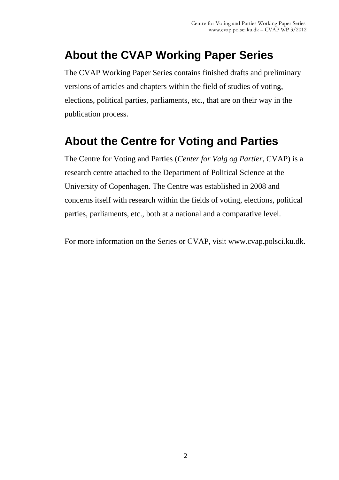# **About the CVAP Working Paper Series**

The CVAP Working Paper Series contains finished drafts and preliminary versions of articles and chapters within the field of studies of voting, elections, political parties, parliaments, etc., that are on their way in the publication process.

## **About the Centre for Voting and Parties**

The Centre for Voting and Parties (*Center for Valg og Partier*, CVAP) is a research centre attached to the Department of Political Science at the University of Copenhagen. The Centre was established in 2008 and concerns itself with research within the fields of voting, elections, political parties, parliaments, etc., both at a national and a comparative level.

For more information on the Series or CVAP, visit www.cvap.polsci.ku.dk.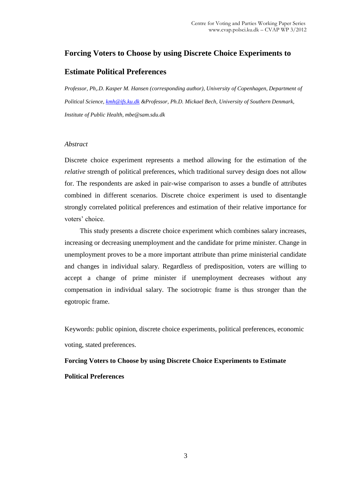### **Forcing Voters to Choose by using Discrete Choice Experiments to**

### **Estimate Political Preferences**

*Professor, Ph,.D. Kasper M. Hansen (corresponding author), University of Copenhagen, Department of Political Science, [kmh@ifs.ku.dk](mailto:kmh@ifs.ku.dk) &Professor, Ph.D. Mickael Bech, University of Southern Denmark, Institute of Public Health, mbe@sam.sdu.dk*

#### *Abstract*

Discrete choice experiment represents a method allowing for the estimation of the *relative* strength of political preferences, which traditional survey design does not allow for. The respondents are asked in pair-wise comparison to asses a bundle of attributes combined in different scenarios. Discrete choice experiment is used to disentangle strongly correlated political preferences and estimation of their relative importance for voters' choice.

This study presents a discrete choice experiment which combines salary increases, increasing or decreasing unemployment and the candidate for prime minister. Change in unemployment proves to be a more important attribute than prime ministerial candidate and changes in individual salary. Regardless of predisposition, voters are willing to accept a change of prime minister if unemployment decreases without any compensation in individual salary. The sociotropic frame is thus stronger than the egotropic frame.

Keywords: public opinion, discrete choice experiments, political preferences, economic voting, stated preferences.

## **Forcing Voters to Choose by using Discrete Choice Experiments to Estimate Political Preferences**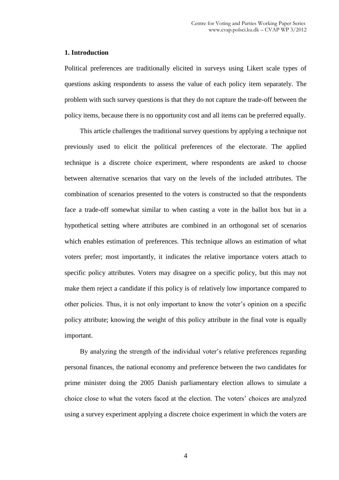#### **1. Introduction**

Political preferences are traditionally elicited in surveys using Likert scale types of questions asking respondents to assess the value of each policy item separately. The problem with such survey questions is that they do not capture the trade-off between the policy items, because there is no opportunity cost and all items can be preferred equally.

This article challenges the traditional survey questions by applying a technique not previously used to elicit the political preferences of the electorate. The applied technique is a discrete choice experiment, where respondents are asked to choose between alternative scenarios that vary on the levels of the included attributes. The combination of scenarios presented to the voters is constructed so that the respondents face a trade-off somewhat similar to when casting a vote in the ballot box but in a hypothetical setting where attributes are combined in an orthogonal set of scenarios which enables estimation of preferences. This technique allows an estimation of what voters prefer; most importantly, it indicates the relative importance voters attach to specific policy attributes. Voters may disagree on a specific policy, but this may not make them reject a candidate if this policy is of relatively low importance compared to other policies. Thus, it is not only important to know the voter's opinion on a specific policy attribute; knowing the weight of this policy attribute in the final vote is equally important.

By analyzing the strength of the individual voter's relative preferences regarding personal finances, the national economy and preference between the two candidates for prime minister doing the 2005 Danish parliamentary election allows to simulate a choice close to what the voters faced at the election. The voters' choices are analyzed using a survey experiment applying a discrete choice experiment in which the voters are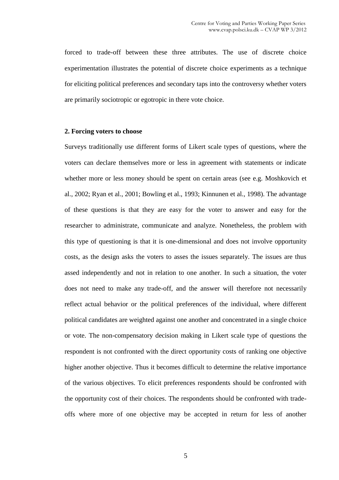forced to trade-off between these three attributes. The use of discrete choice experimentation illustrates the potential of discrete choice experiments as a technique for eliciting political preferences and secondary taps into the controversy whether voters are primarily sociotropic or egotropic in there vote choice.

#### **2. Forcing voters to choose**

Surveys traditionally use different forms of Likert scale types of questions, where the voters can declare themselves more or less in agreement with statements or indicate whether more or less money should be spent on certain areas (see e.g. Moshkovich et al., 2002; Ryan et al., 2001; Bowling et al., 1993; Kinnunen et al., 1998). The advantage of these questions is that they are easy for the voter to answer and easy for the researcher to administrate, communicate and analyze. Nonetheless, the problem with this type of questioning is that it is one-dimensional and does not involve opportunity costs, as the design asks the voters to asses the issues separately. The issues are thus assed independently and not in relation to one another. In such a situation, the voter does not need to make any trade-off, and the answer will therefore not necessarily reflect actual behavior or the political preferences of the individual, where different political candidates are weighted against one another and concentrated in a single choice or vote. The non-compensatory decision making in Likert scale type of questions the respondent is not confronted with the direct opportunity costs of ranking one objective higher another objective. Thus it becomes difficult to determine the relative importance of the various objectives. To elicit preferences respondents should be confronted with the opportunity cost of their choices. The respondents should be confronted with tradeoffs where more of one objective may be accepted in return for less of another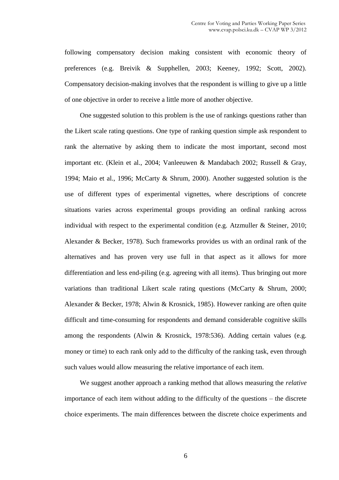following compensatory decision making consistent with economic theory of preferences (e.g. Breivik & Supphellen, 2003; Keeney, 1992; Scott, 2002). Compensatory decision-making involves that the respondent is willing to give up a little of one objective in order to receive a little more of another objective.

One suggested solution to this problem is the use of rankings questions rather than the Likert scale rating questions. One type of ranking question simple ask respondent to rank the alternative by asking them to indicate the most important, second most important etc. (Klein et al., 2004; Vanleeuwen & Mandabach 2002; Russell & Gray, 1994; Maio et al., 1996; McCarty & Shrum, 2000). Another suggested solution is the use of different types of experimental vignettes, where descriptions of concrete situations varies across experimental groups providing an ordinal ranking across individual with respect to the experimental condition (e.g. Atzmuller & Steiner, 2010; Alexander & Becker, 1978). Such frameworks provides us with an ordinal rank of the alternatives and has proven very use full in that aspect as it allows for more differentiation and less end-piling (e.g. agreeing with all items). Thus bringing out more variations than traditional Likert scale rating questions (McCarty & Shrum, 2000; Alexander & Becker, 1978; Alwin & Krosnick, 1985). However ranking are often quite difficult and time-consuming for respondents and demand considerable cognitive skills among the respondents (Alwin & Krosnick, 1978:536). Adding certain values (e.g. money or time) to each rank only add to the difficulty of the ranking task, even through such values would allow measuring the relative importance of each item.

We suggest another approach a ranking method that allows measuring the *relative* importance of each item without adding to the difficulty of the questions – the discrete choice experiments. The main differences between the discrete choice experiments and

6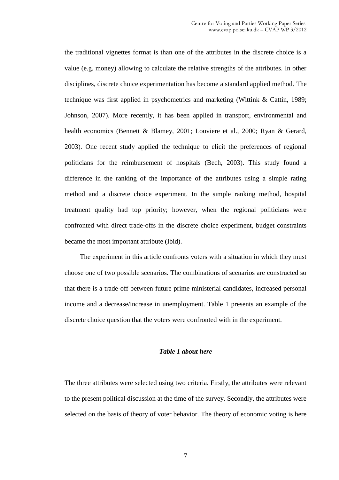the traditional vignettes format is than one of the attributes in the discrete choice is a value (e.g. money) allowing to calculate the relative strengths of the attributes. In other disciplines, discrete choice experimentation has become a standard applied method. The technique was first applied in psychometrics and marketing (Wittink & Cattin, 1989; Johnson, 2007). More recently, it has been applied in transport, environmental and health economics (Bennett & Blamey, 2001; Louviere et al., 2000; Ryan & Gerard, 2003). One recent study applied the technique to elicit the preferences of regional politicians for the reimbursement of hospitals (Bech, 2003). This study found a difference in the ranking of the importance of the attributes using a simple rating method and a discrete choice experiment. In the simple ranking method, hospital treatment quality had top priority; however, when the regional politicians were confronted with direct trade-offs in the discrete choice experiment, budget constraints became the most important attribute (Ibid).

The experiment in this article confronts voters with a situation in which they must choose one of two possible scenarios. The combinations of scenarios are constructed so that there is a trade-off between future prime ministerial candidates, increased personal income and a decrease/increase in unemployment. Table 1 presents an example of the discrete choice question that the voters were confronted with in the experiment.

#### *Table 1 about here*

The three attributes were selected using two criteria. Firstly, the attributes were relevant to the present political discussion at the time of the survey. Secondly, the attributes were selected on the basis of theory of voter behavior. The theory of economic voting is here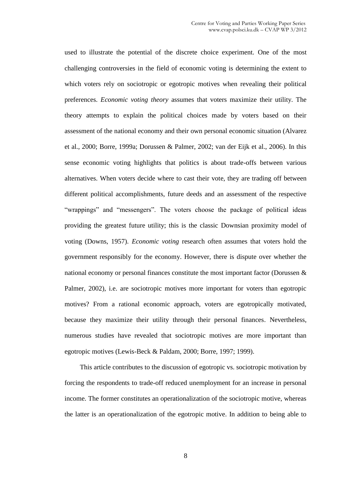used to illustrate the potential of the discrete choice experiment. One of the most challenging controversies in the field of economic voting is determining the extent to which voters rely on sociotropic or egotropic motives when revealing their political preferences. *Economic voting theory* assumes that voters maximize their utility. The theory attempts to explain the political choices made by voters based on their assessment of the national economy and their own personal economic situation (Alvarez et al., 2000; Borre, 1999a; Dorussen & Palmer, 2002; van der Eijk et al., 2006). In this sense economic voting highlights that politics is about trade-offs between various alternatives. When voters decide where to cast their vote, they are trading off between different political accomplishments, future deeds and an assessment of the respective "wrappings" and "messengers". The voters choose the package of political ideas providing the greatest future utility; this is the classic Downsian proximity model of voting (Downs, 1957). *Economic voting* research often assumes that voters hold the government responsibly for the economy. However, there is dispute over whether the national economy or personal finances constitute the most important factor (Dorussen & Palmer, 2002), i.e. are sociotropic motives more important for voters than egotropic motives? From a rational economic approach, voters are egotropically motivated, because they maximize their utility through their personal finances. Nevertheless, numerous studies have revealed that sociotropic motives are more important than egotropic motives (Lewis-Beck & Paldam, 2000; Borre, 1997; 1999).

This article contributes to the discussion of egotropic vs. sociotropic motivation by forcing the respondents to trade-off reduced unemployment for an increase in personal income. The former constitutes an operationalization of the sociotropic motive, whereas the latter is an operationalization of the egotropic motive. In addition to being able to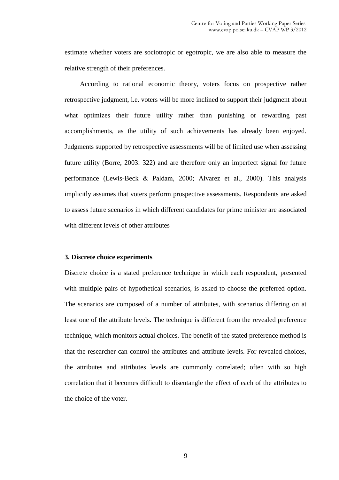estimate whether voters are sociotropic or egotropic, we are also able to measure the relative strength of their preferences.

According to rational economic theory, voters focus on prospective rather retrospective judgment, i.e. voters will be more inclined to support their judgment about what optimizes their future utility rather than punishing or rewarding past accomplishments, as the utility of such achievements has already been enjoyed. Judgments supported by retrospective assessments will be of limited use when assessing future utility (Borre, 2003: 322) and are therefore only an imperfect signal for future performance (Lewis-Beck & Paldam, 2000; Alvarez et al., 2000). This analysis implicitly assumes that voters perform prospective assessments. Respondents are asked to assess future scenarios in which different candidates for prime minister are associated with different levels of other attributes

#### **3. Discrete choice experiments**

Discrete choice is a stated preference technique in which each respondent, presented with multiple pairs of hypothetical scenarios, is asked to choose the preferred option. The scenarios are composed of a number of attributes, with scenarios differing on at least one of the attribute levels. The technique is different from the revealed preference technique, which monitors actual choices. The benefit of the stated preference method is that the researcher can control the attributes and attribute levels. For revealed choices, the attributes and attributes levels are commonly correlated; often with so high correlation that it becomes difficult to disentangle the effect of each of the attributes to the choice of the voter.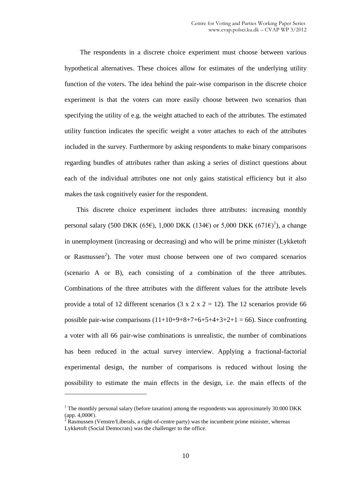The respondents in a discrete choice experiment must choose between various hypothetical alternatives. These choices allow for estimates of the underlying utility function of the voters. The idea behind the pair-wise comparison in the discrete choice experiment is that the voters can more easily choose between two scenarios than specifying the utility of e.g. the weight attached to each of the attributes. The estimated utility function indicates the specific weight a voter attaches to each of the attributes included in the survey. Furthermore by asking respondents to make binary comparisons regarding bundles of attributes rather than asking a series of distinct questions about each of the individual attributes one not only gains statistical efficiency but it also makes the task cognitively easier for the respondent.

This discrete choice experiment includes three attributes: increasing monthly personal salary (500 DKK (65 $\epsilon$ ), 1,000 DKK (134 $\epsilon$ ) or 5,000 DKK (671 $\epsilon$ )<sup>1</sup>), a change in unemployment (increasing or decreasing) and who will be prime minister (Lykketoft or Rasmussen<sup>2</sup>). The voter must choose between one of two compared scenarios (scenario A or B), each consisting of a combination of the three attributes. Combinations of the three attributes with the different values for the attribute levels provide a total of 12 different scenarios (3 x 2 x 2 = 12). The 12 scenarios provide 66 possible pair-wise comparisons  $(11+10+9+8+7+6+5+4+3+2+1 = 66)$ . Since confronting a voter with all 66 pair-wise combinations is unrealistic, the number of combinations has been reduced in the actual survey interview. Applying a fractional-factorial experimental design, the number of comparisons is reduced without losing the possibility to estimate the main effects in the design, i.e. the main effects of the

 $\overline{a}$ 

 $1$  The monthly personal salary (before taxation) among the respondents was approximately 30.000 DKK (app. 4,000€).

 $2 \text{ Rasmussen (Venstre/Liberals, a right-of-centre party)}$  was the incumbent prime minister, whereas

Lykketoft (Social Democrats) was the challenger to the office.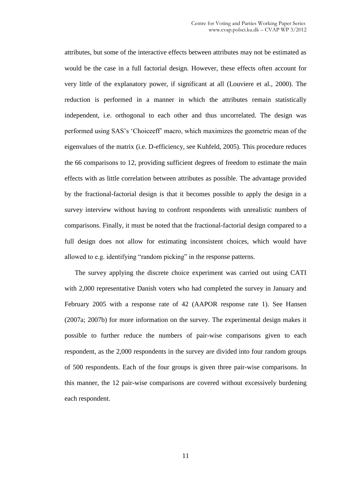attributes, but some of the interactive effects between attributes may not be estimated as would be the case in a full factorial design. However, these effects often account for very little of the explanatory power, if significant at all (Louviere et al., 2000). The reduction is performed in a manner in which the attributes remain statistically independent, i.e. orthogonal to each other and thus uncorrelated. The design was performed using SAS's 'Choiceeff' macro, which maximizes the geometric mean of the eigenvalues of the matrix (i.e. D-efficiency, see Kuhfeld, 2005). This procedure reduces the 66 comparisons to 12, providing sufficient degrees of freedom to estimate the main effects with as little correlation between attributes as possible. The advantage provided by the fractional-factorial design is that it becomes possible to apply the design in a survey interview without having to confront respondents with unrealistic numbers of comparisons. Finally, it must be noted that the fractional-factorial design compared to a full design does not allow for estimating inconsistent choices, which would have allowed to e.g. identifying "random picking" in the response patterns.

The survey applying the discrete choice experiment was carried out using CATI with 2,000 representative Danish voters who had completed the survey in January and February 2005 with a response rate of 42 (AAPOR response rate 1). See Hansen (2007a; 2007b) for more information on the survey. The experimental design makes it possible to further reduce the numbers of pair-wise comparisons given to each respondent, as the 2,000 respondents in the survey are divided into four random groups of 500 respondents. Each of the four groups is given three pair-wise comparisons. In this manner, the 12 pair-wise comparisons are covered without excessively burdening each respondent.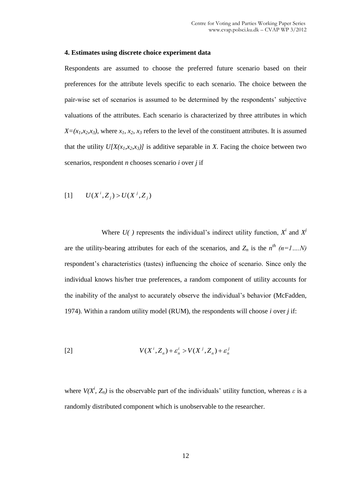#### **4. Estimates using discrete choice experiment data**

Respondents are assumed to choose the preferred future scenario based on their preferences for the attribute levels specific to each scenario. The choice between the pair-wise set of scenarios is assumed to be determined by the respondents' subjective valuations of the attributes. Each scenario is characterized by three attributes in which  $X=(x_1,x_2,x_3)$ , where  $x_1, x_2, x_3$  refers to the level of the constituent attributes. It is assumed that the utility  $U[X(x_1,x_2,x_3)]$  is additive separable in X. Facing the choice between two scenarios, respondent *n* chooses scenario *i* over *j* if

$$
[1] \qquad U(X^i, Z_j) > U(X^j, Z_j)
$$

Where  $U(j)$  represents the individual's indirect utility function,  $X^i$  and  $X^j$ are the utility-bearing attributes for each of the scenarios, and  $Z_n$  is the  $n^{th}$   $(n=1,...N)$ respondent's characteristics (tastes) influencing the choice of scenario. Since only the individual knows his/her true preferences, a random component of utility accounts for the inability of the analyst to accurately observe the individual's behavior (McFadden, 1974). Within a random utility model (RUM), the respondents will choose *i* over *j* if:

$$
V(X^i, Z_n) + \varepsilon_n^i > V(X^j, Z_n) + \varepsilon_n^j
$$

where  $V(X^i, Z_n)$  is the observable part of the individuals' utility function, whereas  $\varepsilon$  is a randomly distributed component which is unobservable to the researcher.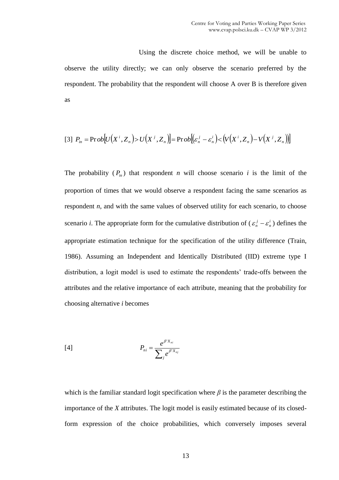Using the discrete choice method, we will be unable to observe the utility directly; we can only observe the scenario preferred by the respondent. The probability that the respondent will choose A over B is therefore given as

$$
[3] Pin = Prob[U(Xi, Zn) > U(Xj, Zn)] = Prob[(\varepsilonnj - \varepsilonni) < (V(Xi, Zn) - V(Xj, Zn))]
$$

The probability  $(P_{in})$  that respondent *n* will choose scenario *i* is the limit of the proportion of times that we would observe a respondent facing the same scenarios as respondent *n*, and with the same values of observed utility for each scenario, to choose scenario *i*. The appropriate form for the cumulative distribution of  $(\varepsilon_n^j - \varepsilon_n^j)$ *n j*  $\varepsilon_n^j - \varepsilon_n^i$ ) defines the appropriate estimation technique for the specification of the utility difference (Train, 1986). Assuming an Independent and Identically Distributed (IID) extreme type I distribution, a logit model is used to estimate the respondents' trade-offs between the attributes and the relative importance of each attribute, meaning that the probability for choosing alternative *i* becomes

[4] 
$$
P_{ni} = \frac{e^{\beta' X_{ni}}}{\sum_{j} e^{\beta' X_{nj}}}
$$

which is the familiar standard logit specification where  $\beta$  is the parameter describing the importance of the *X* attributes. The logit model is easily estimated because of its closedform expression of the choice probabilities, which conversely imposes several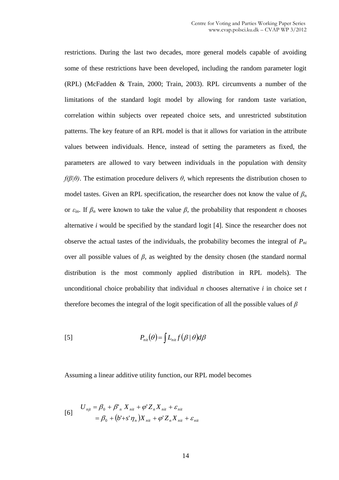restrictions. During the last two decades, more general models capable of avoiding some of these restrictions have been developed, including the random parameter logit (RPL) (McFadden & Train, 2000; Train, 2003). RPL circumvents a number of the limitations of the standard logit model by allowing for random taste variation, correlation within subjects over repeated choice sets, and unrestricted substitution patterns. The key feature of an RPL model is that it allows for variation in the attribute values between individuals. Hence, instead of setting the parameters as fixed, the parameters are allowed to vary between individuals in the population with density *f(β|θ)*. The estimation procedure delivers *θ*, which represents the distribution chosen to model tastes. Given an RPL specification, the researcher does not know the value of  $\beta_n$ or  $\varepsilon_{in}$ . If  $\beta_n$  were known to take the value  $\beta$ , the probability that respondent *n* chooses alternative *i* would be specified by the standard logit [4]. Since the researcher does not observe the actual tastes of the individuals, the probability becomes the integral of *Pni* over all possible values of *β*, as weighted by the density chosen (the standard normal distribution is the most commonly applied distribution in RPL models). The unconditional choice probability that individual *n* chooses alternative *i* in choice set *t* therefore becomes the integral of the logit specification of all the possible values of *β*

$$
P_{nii}(\theta) = \int L_{nii} f(\beta \mid \theta) d\beta
$$

Assuming a linear additive utility function, our RPL model becomes

$$
U_{njt} = \beta_0 + \beta'_n X_{nit} + \varphi' Z_n X_{nit} + \varepsilon_{nit}
$$
  
=  $\beta_0 + (b' + s'\eta_n)X_{nit} + \varphi' Z_n X_{nit} + \varepsilon_{nit}$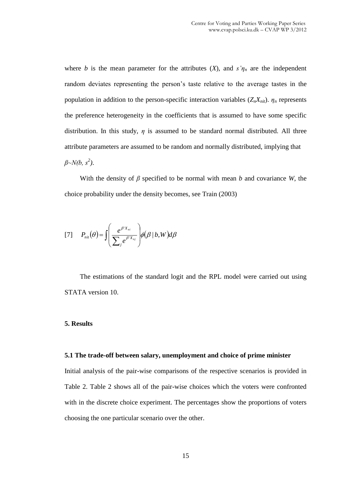where *b* is the mean parameter for the attributes  $(X)$ , and  $s'\eta_n$  are the independent random deviates representing the person's taste relative to the average tastes in the population in addition to the person-specific interaction variables  $(Z_n X_{nit})$ .  $\eta_n$  represents the preference heterogeneity in the coefficients that is assumed to have some specific distribution. In this study,  $\eta$  is assumed to be standard normal distributed. All three attribute parameters are assumed to be random and normally distributed, implying that *β~N(b, s<sup>2</sup> )*.

With the density of  $\beta$  specified to be normal with mean *b* and covariance *W*, the choice probability under the density becomes, see Train (2003)

$$
[7] \qquad P_{ni}(\theta) = \int \left(\frac{e^{\beta'X_{ni}}}{\sum_{j} e^{\beta'X_{nj}}}\right) \phi(\beta \mid b, W) d\beta
$$

The estimations of the standard logit and the RPL model were carried out using STATA version 10.

#### **5. Results**

#### **5.1 The trade-off between salary, unemployment and choice of prime minister**

Initial analysis of the pair-wise comparisons of the respective scenarios is provided in Table 2. Table 2 shows all of the pair-wise choices which the voters were confronted with in the discrete choice experiment. The percentages show the proportions of voters choosing the one particular scenario over the other.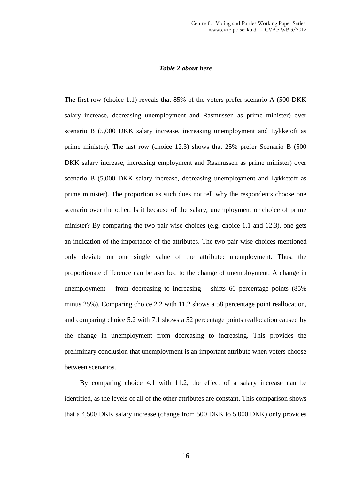#### *Table 2 about here*

The first row (choice 1.1) reveals that 85% of the voters prefer scenario A (500 DKK salary increase, decreasing unemployment and Rasmussen as prime minister) over scenario B (5,000 DKK salary increase, increasing unemployment and Lykketoft as prime minister). The last row (choice 12.3) shows that 25% prefer Scenario B (500 DKK salary increase, increasing employment and Rasmussen as prime minister) over scenario B (5,000 DKK salary increase, decreasing unemployment and Lykketoft as prime minister). The proportion as such does not tell why the respondents choose one scenario over the other. Is it because of the salary, unemployment or choice of prime minister? By comparing the two pair-wise choices (e.g. choice 1.1 and 12.3), one gets an indication of the importance of the attributes. The two pair-wise choices mentioned only deviate on one single value of the attribute: unemployment. Thus, the proportionate difference can be ascribed to the change of unemployment. A change in unemployment – from decreasing to increasing – shifts  $60$  percentage points (85%) minus 25%). Comparing choice 2.2 with 11.2 shows a 58 percentage point reallocation, and comparing choice 5.2 with 7.1 shows a 52 percentage points reallocation caused by the change in unemployment from decreasing to increasing. This provides the preliminary conclusion that unemployment is an important attribute when voters choose between scenarios.

By comparing choice 4.1 with 11.2, the effect of a salary increase can be identified, as the levels of all of the other attributes are constant. This comparison shows that a 4,500 DKK salary increase (change from 500 DKK to 5,000 DKK) only provides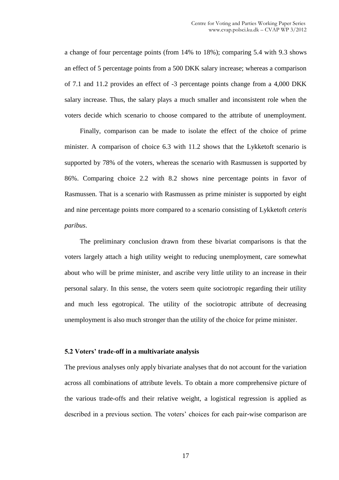a change of four percentage points (from 14% to 18%); comparing 5.4 with 9.3 shows an effect of 5 percentage points from a 500 DKK salary increase; whereas a comparison of 7.1 and 11.2 provides an effect of -3 percentage points change from a 4,000 DKK salary increase. Thus, the salary plays a much smaller and inconsistent role when the voters decide which scenario to choose compared to the attribute of unemployment.

Finally, comparison can be made to isolate the effect of the choice of prime minister. A comparison of choice 6.3 with 11.2 shows that the Lykketoft scenario is supported by 78% of the voters, whereas the scenario with Rasmussen is supported by 86%. Comparing choice 2.2 with 8.2 shows nine percentage points in favor of Rasmussen. That is a scenario with Rasmussen as prime minister is supported by eight and nine percentage points more compared to a scenario consisting of Lykketoft *ceteris paribus*.

The preliminary conclusion drawn from these bivariat comparisons is that the voters largely attach a high utility weight to reducing unemployment, care somewhat about who will be prime minister, and ascribe very little utility to an increase in their personal salary. In this sense, the voters seem quite sociotropic regarding their utility and much less egotropical. The utility of the sociotropic attribute of decreasing unemployment is also much stronger than the utility of the choice for prime minister.

#### **5.2 Voters' trade-off in a multivariate analysis**

The previous analyses only apply bivariate analyses that do not account for the variation across all combinations of attribute levels. To obtain a more comprehensive picture of the various trade-offs and their relative weight, a logistical regression is applied as described in a previous section. The voters' choices for each pair-wise comparison are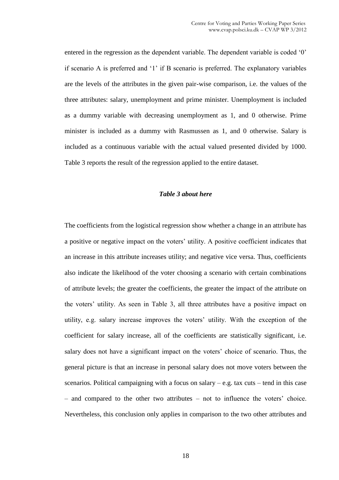entered in the regression as the dependent variable. The dependent variable is coded '0' if scenario A is preferred and '1' if B scenario is preferred. The explanatory variables are the levels of the attributes in the given pair-wise comparison, i.e. the values of the three attributes: salary, unemployment and prime minister. Unemployment is included as a dummy variable with decreasing unemployment as 1, and 0 otherwise. Prime minister is included as a dummy with Rasmussen as 1, and 0 otherwise. Salary is included as a continuous variable with the actual valued presented divided by 1000. Table 3 reports the result of the regression applied to the entire dataset.

#### *Table 3 about here*

The coefficients from the logistical regression show whether a change in an attribute has a positive or negative impact on the voters' utility. A positive coefficient indicates that an increase in this attribute increases utility; and negative vice versa. Thus, coefficients also indicate the likelihood of the voter choosing a scenario with certain combinations of attribute levels; the greater the coefficients, the greater the impact of the attribute on the voters' utility. As seen in Table 3, all three attributes have a positive impact on utility, e.g. salary increase improves the voters' utility. With the exception of the coefficient for salary increase, all of the coefficients are statistically significant, i.e. salary does not have a significant impact on the voters' choice of scenario. Thus, the general picture is that an increase in personal salary does not move voters between the scenarios. Political campaigning with a focus on salary – e.g. tax cuts – tend in this case – and compared to the other two attributes – not to influence the voters' choice. Nevertheless, this conclusion only applies in comparison to the two other attributes and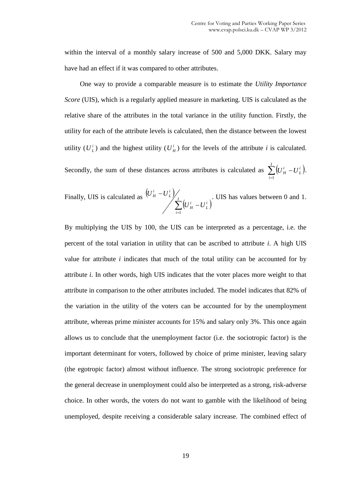within the interval of a monthly salary increase of 500 and 5,000 DKK. Salary may have had an effect if it was compared to other attributes.

One way to provide a comparable measure is to estimate the *Utility Importance Score* (UIS), which is a regularly applied measure in marketing. UIS is calculated as the relative share of the attributes in the total variance in the utility function. Firstly, the utility for each of the attribute levels is calculated, then the distance between the lowest utility  $(U_L^i)$  and the highest utility  $(U_H^i)$  for the levels of the attribute *i* is calculated.

Secondly, the sum of these distances across attributes is calculated as  $\sum_{i=1}^{n} (U_H^i - U_L^i)$ .  $\sum^I \left( U^i_{\,H} \right)$ *i i*  $\left(U^i_{\,H} - U^i_{\,L}\right)$ 1 .

Finally, UIS is calculated as 
$$
\left\langle U^i_H - U^i_L \right\rangle / \sum_{i=1}^I \left( U^i_H - U^i_L \right)
$$
. UIS has values between 0 and 1.

By multiplying the UIS by 100, the UIS can be interpreted as a percentage, i.e. the percent of the total variation in utility that can be ascribed to attribute *i*. A high UIS value for attribute *i* indicates that much of the total utility can be accounted for by attribute *i*. In other words, high UIS indicates that the voter places more weight to that attribute in comparison to the other attributes included. The model indicates that 82% of the variation in the utility of the voters can be accounted for by the unemployment attribute, whereas prime minister accounts for 15% and salary only 3%. This once again allows us to conclude that the unemployment factor (i.e. the sociotropic factor) is the important determinant for voters, followed by choice of prime minister, leaving salary (the egotropic factor) almost without influence. The strong sociotropic preference for the general decrease in unemployment could also be interpreted as a strong, risk-adverse choice. In other words, the voters do not want to gamble with the likelihood of being unemployed, despite receiving a considerable salary increase. The combined effect of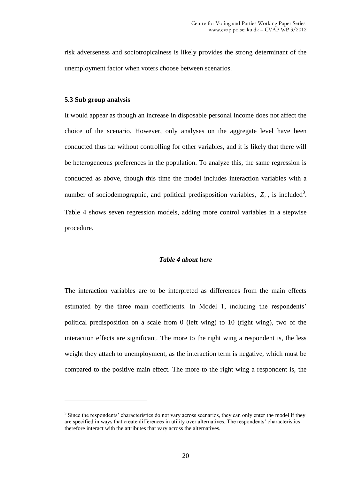risk adverseness and sociotropicalness is likely provides the strong determinant of the unemployment factor when voters choose between scenarios.

#### **5.3 Sub group analysis**

 $\overline{a}$ 

It would appear as though an increase in disposable personal income does not affect the choice of the scenario. However, only analyses on the aggregate level have been conducted thus far without controlling for other variables, and it is likely that there will be heterogeneous preferences in the population. To analyze this, the same regression is conducted as above, though this time the model includes interaction variables with a number of sociodemographic, and political predisposition variables,  $Z_n$ , is included<sup>3</sup>. Table 4 shows seven regression models, adding more control variables in a stepwise procedure.

#### *Table 4 about here*

The interaction variables are to be interpreted as differences from the main effects estimated by the three main coefficients. In Model 1, including the respondents' political predisposition on a scale from 0 (left wing) to 10 (right wing), two of the interaction effects are significant. The more to the right wing a respondent is, the less weight they attach to unemployment, as the interaction term is negative, which must be compared to the positive main effect. The more to the right wing a respondent is, the

 $3$  Since the respondents' characteristics do not vary across scenarios, they can only enter the model if they are specified in ways that create differences in utility over alternatives. The respondents' characteristics therefore interact with the attributes that vary across the alternatives.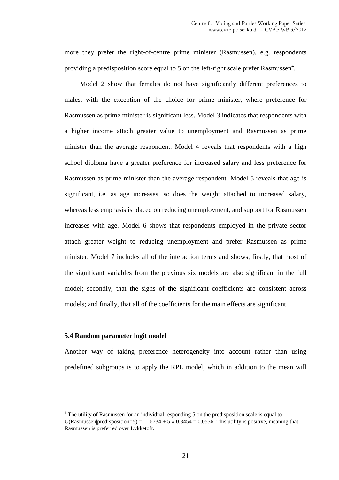more they prefer the right-of-centre prime minister (Rasmussen), e.g. respondents providing a predisposition score equal to 5 on the left-right scale prefer Rasmussen<sup>4</sup>.

Model 2 show that females do not have significantly different preferences to males, with the exception of the choice for prime minister, where preference for Rasmussen as prime minister is significant less. Model 3 indicates that respondents with a higher income attach greater value to unemployment and Rasmussen as prime minister than the average respondent. Model 4 reveals that respondents with a high school diploma have a greater preference for increased salary and less preference for Rasmussen as prime minister than the average respondent. Model 5 reveals that age is significant, i.e. as age increases, so does the weight attached to increased salary, whereas less emphasis is placed on reducing unemployment, and support for Rasmussen increases with age. Model 6 shows that respondents employed in the private sector attach greater weight to reducing unemployment and prefer Rasmussen as prime minister. Model 7 includes all of the interaction terms and shows, firstly, that most of the significant variables from the previous six models are also significant in the full model; secondly, that the signs of the significant coefficients are consistent across models; and finally, that all of the coefficients for the main effects are significant.

#### **5.4 Random parameter logit model**

 $\overline{a}$ 

Another way of taking preference heterogeneity into account rather than using predefined subgroups is to apply the RPL model, which in addition to the mean will

 $4$  The utility of Rasmussen for an individual responding 5 on the predisposition scale is equal to U(Rasmussen|predisposition=5) = -1.6734 + 5  $\times$  0.3454 = 0.0536. This utility is positive, meaning that Rasmussen is preferred over Lykketoft.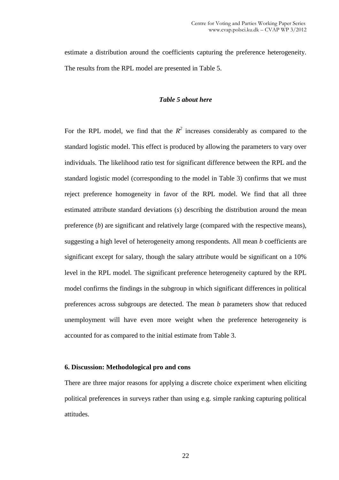estimate a distribution around the coefficients capturing the preference heterogeneity. The results from the RPL model are presented in Table 5.

#### *Table 5 about here*

For the RPL model, we find that the  $R^2$  increases considerably as compared to the standard logistic model. This effect is produced by allowing the parameters to vary over individuals. The likelihood ratio test for significant difference between the RPL and the standard logistic model (corresponding to the model in Table 3) confirms that we must reject preference homogeneity in favor of the RPL model. We find that all three estimated attribute standard deviations (*s*) describing the distribution around the mean preference (*b*) are significant and relatively large (compared with the respective means), suggesting a high level of heterogeneity among respondents. All mean *b* coefficients are significant except for salary, though the salary attribute would be significant on a 10% level in the RPL model. The significant preference heterogeneity captured by the RPL model confirms the findings in the subgroup in which significant differences in political preferences across subgroups are detected. The mean *b* parameters show that reduced unemployment will have even more weight when the preference heterogeneity is accounted for as compared to the initial estimate from Table 3.

#### **6. Discussion: Methodological pro and cons**

There are three major reasons for applying a discrete choice experiment when eliciting political preferences in surveys rather than using e.g. simple ranking capturing political attitudes.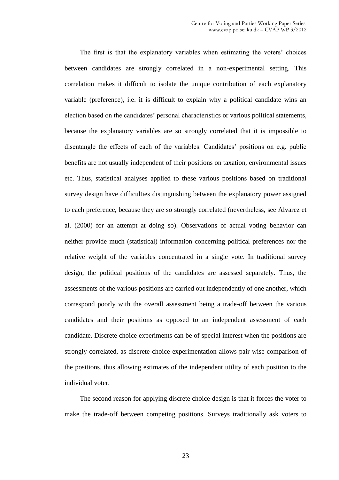The first is that the explanatory variables when estimating the voters' choices between candidates are strongly correlated in a non-experimental setting. This correlation makes it difficult to isolate the unique contribution of each explanatory variable (preference), i.e. it is difficult to explain why a political candidate wins an election based on the candidates' personal characteristics or various political statements, because the explanatory variables are so strongly correlated that it is impossible to disentangle the effects of each of the variables. Candidates' positions on e.g. public benefits are not usually independent of their positions on taxation, environmental issues etc. Thus, statistical analyses applied to these various positions based on traditional survey design have difficulties distinguishing between the explanatory power assigned to each preference, because they are so strongly correlated (nevertheless, see Alvarez et al. (2000) for an attempt at doing so). Observations of actual voting behavior can neither provide much (statistical) information concerning political preferences nor the relative weight of the variables concentrated in a single vote. In traditional survey design, the political positions of the candidates are assessed separately. Thus, the assessments of the various positions are carried out independently of one another, which correspond poorly with the overall assessment being a trade-off between the various candidates and their positions as opposed to an independent assessment of each candidate. Discrete choice experiments can be of special interest when the positions are strongly correlated, as discrete choice experimentation allows pair-wise comparison of the positions, thus allowing estimates of the independent utility of each position to the individual voter.

The second reason for applying discrete choice design is that it forces the voter to make the trade-off between competing positions. Surveys traditionally ask voters to

23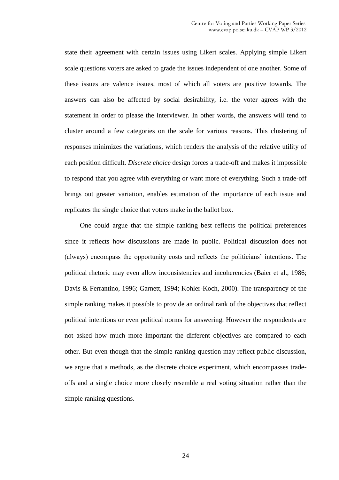state their agreement with certain issues using Likert scales. Applying simple Likert scale questions voters are asked to grade the issues independent of one another. Some of these issues are valence issues, most of which all voters are positive towards. The answers can also be affected by social desirability, i.e. the voter agrees with the statement in order to please the interviewer. In other words, the answers will tend to cluster around a few categories on the scale for various reasons. This clustering of responses minimizes the variations, which renders the analysis of the relative utility of each position difficult. *Discrete choice* design forces a trade-off and makes it impossible to respond that you agree with everything or want more of everything. Such a trade-off brings out greater variation, enables estimation of the importance of each issue and replicates the single choice that voters make in the ballot box.

One could argue that the simple ranking best reflects the political preferences since it reflects how discussions are made in public. Political discussion does not (always) encompass the opportunity costs and reflects the politicians' intentions. The political rhetoric may even allow inconsistencies and incoherencies (Baier et al., 1986; Davis & Ferrantino, 1996; Garnett, 1994; Kohler-Koch, 2000). The transparency of the simple ranking makes it possible to provide an ordinal rank of the objectives that reflect political intentions or even political norms for answering. However the respondents are not asked how much more important the different objectives are compared to each other. But even though that the simple ranking question may reflect public discussion, we argue that a methods, as the discrete choice experiment, which encompasses tradeoffs and a single choice more closely resemble a real voting situation rather than the simple ranking questions.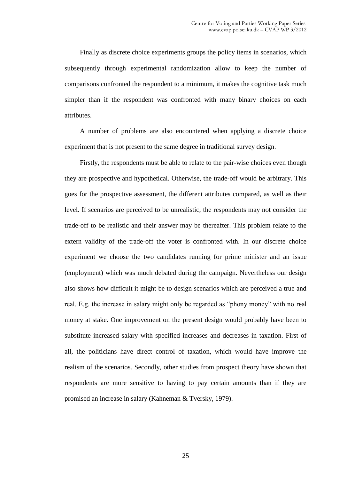Finally as discrete choice experiments groups the policy items in scenarios, which subsequently through experimental randomization allow to keep the number of comparisons confronted the respondent to a minimum, it makes the cognitive task much simpler than if the respondent was confronted with many binary choices on each attributes.

A number of problems are also encountered when applying a discrete choice experiment that is not present to the same degree in traditional survey design.

Firstly, the respondents must be able to relate to the pair-wise choices even though they are prospective and hypothetical. Otherwise, the trade-off would be arbitrary. This goes for the prospective assessment, the different attributes compared, as well as their level. If scenarios are perceived to be unrealistic, the respondents may not consider the trade-off to be realistic and their answer may be thereafter. This problem relate to the extern validity of the trade-off the voter is confronted with. In our discrete choice experiment we choose the two candidates running for prime minister and an issue (employment) which was much debated during the campaign. Nevertheless our design also shows how difficult it might be to design scenarios which are perceived a true and real. E.g. the increase in salary might only be regarded as "phony money" with no real money at stake. One improvement on the present design would probably have been to substitute increased salary with specified increases and decreases in taxation. First of all, the politicians have direct control of taxation, which would have improve the realism of the scenarios. Secondly, other studies from prospect theory have shown that respondents are more sensitive to having to pay certain amounts than if they are promised an increase in salary (Kahneman & Tversky, 1979).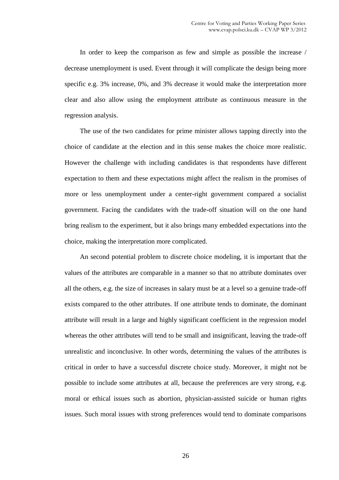In order to keep the comparison as few and simple as possible the increase / decrease unemployment is used. Event through it will complicate the design being more specific e.g. 3% increase, 0%, and 3% decrease it would make the interpretation more clear and also allow using the employment attribute as continuous measure in the regression analysis.

The use of the two candidates for prime minister allows tapping directly into the choice of candidate at the election and in this sense makes the choice more realistic. However the challenge with including candidates is that respondents have different expectation to them and these expectations might affect the realism in the promises of more or less unemployment under a center-right government compared a socialist government. Facing the candidates with the trade-off situation will on the one hand bring realism to the experiment, but it also brings many embedded expectations into the choice, making the interpretation more complicated.

An second potential problem to discrete choice modeling, it is important that the values of the attributes are comparable in a manner so that no attribute dominates over all the others, e.g. the size of increases in salary must be at a level so a genuine trade-off exists compared to the other attributes. If one attribute tends to dominate, the dominant attribute will result in a large and highly significant coefficient in the regression model whereas the other attributes will tend to be small and insignificant, leaving the trade-off unrealistic and inconclusive. In other words, determining the values of the attributes is critical in order to have a successful discrete choice study. Moreover, it might not be possible to include some attributes at all, because the preferences are very strong, e.g. moral or ethical issues such as abortion, physician-assisted suicide or human rights issues. Such moral issues with strong preferences would tend to dominate comparisons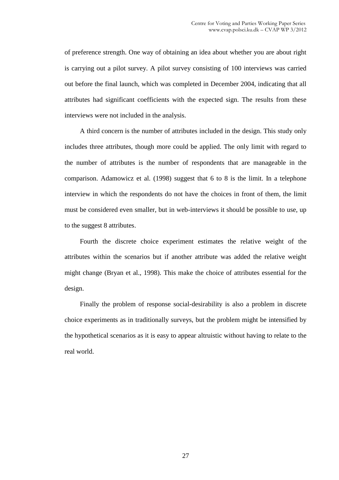of preference strength. One way of obtaining an idea about whether you are about right is carrying out a pilot survey. A pilot survey consisting of 100 interviews was carried out before the final launch, which was completed in December 2004, indicating that all attributes had significant coefficients with the expected sign. The results from these interviews were not included in the analysis.

A third concern is the number of attributes included in the design. This study only includes three attributes, though more could be applied. The only limit with regard to the number of attributes is the number of respondents that are manageable in the comparison. Adamowicz et al. (1998) suggest that 6 to 8 is the limit. In a telephone interview in which the respondents do not have the choices in front of them, the limit must be considered even smaller, but in web-interviews it should be possible to use, up to the suggest 8 attributes.

Fourth the discrete choice experiment estimates the relative weight of the attributes within the scenarios but if another attribute was added the relative weight might change (Bryan et al., 1998). This make the choice of attributes essential for the design.

Finally the problem of response social-desirability is also a problem in discrete choice experiments as in traditionally surveys, but the problem might be intensified by the hypothetical scenarios as it is easy to appear altruistic without having to relate to the real world.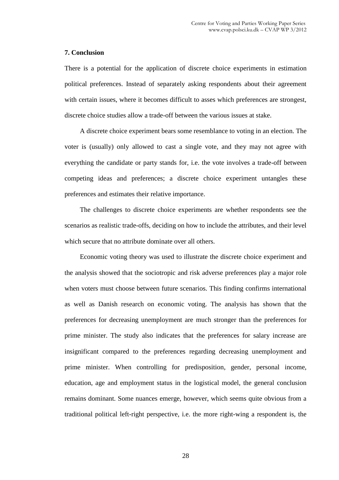#### **7. Conclusion**

There is a potential for the application of discrete choice experiments in estimation political preferences. Instead of separately asking respondents about their agreement with certain issues, where it becomes difficult to asses which preferences are strongest, discrete choice studies allow a trade-off between the various issues at stake.

A discrete choice experiment bears some resemblance to voting in an election. The voter is (usually) only allowed to cast a single vote, and they may not agree with everything the candidate or party stands for, i.e. the vote involves a trade-off between competing ideas and preferences; a discrete choice experiment untangles these preferences and estimates their relative importance.

The challenges to discrete choice experiments are whether respondents see the scenarios as realistic trade-offs, deciding on how to include the attributes, and their level which secure that no attribute dominate over all others.

Economic voting theory was used to illustrate the discrete choice experiment and the analysis showed that the sociotropic and risk adverse preferences play a major role when voters must choose between future scenarios. This finding confirms international as well as Danish research on economic voting. The analysis has shown that the preferences for decreasing unemployment are much stronger than the preferences for prime minister. The study also indicates that the preferences for salary increase are insignificant compared to the preferences regarding decreasing unemployment and prime minister. When controlling for predisposition, gender, personal income, education, age and employment status in the logistical model, the general conclusion remains dominant. Some nuances emerge, however, which seems quite obvious from a traditional political left-right perspective, i.e. the more right-wing a respondent is, the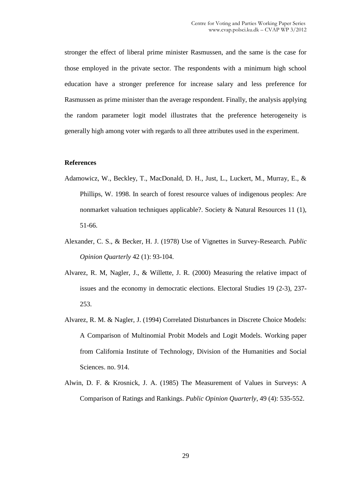stronger the effect of liberal prime minister Rasmussen, and the same is the case for those employed in the private sector. The respondents with a minimum high school education have a stronger preference for increase salary and less preference for Rasmussen as prime minister than the average respondent. Finally, the analysis applying the random parameter logit model illustrates that the preference heterogeneity is generally high among voter with regards to all three attributes used in the experiment.

#### **References**

- Adamowicz, W., Beckley, T., MacDonald, D. H., Just, L., Luckert, M., Murray, E., & Phillips, W. 1998. In search of forest resource values of indigenous peoples: Are nonmarket valuation techniques applicable?. Society & Natural Resources 11 (1), 51-66.
- Alexander, C. S., & Becker, H. J. (1978) Use of Vignettes in Survey-Research. *Public Opinion Quarterly* 42 (1): 93-104.
- Alvarez, R. M, Nagler, J., & Willette, J. R. (2000) Measuring the relative impact of issues and the economy in democratic elections. Electoral Studies 19 (2-3), 237- 253.
- Alvarez, R. M. & Nagler, J. (1994) Correlated Disturbances in Discrete Choice Models: A Comparison of Multinomial Probit Models and Logit Models. Working paper from California Institute of Technology, Division of the Humanities and Social Sciences. no. 914.
- Alwin, D. F. & Krosnick, J. A. (1985) The Measurement of Values in Surveys: A Comparison of Ratings and Rankings. *Public Opinion Quarterly*, 49 (4): 535-552.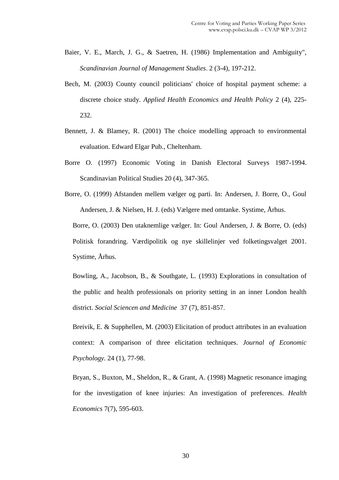- Baier, V. E., March, J. G., & Saetren, H. (1986) Implementation and Ambiguity", *Scandinavian Journal of Management Studies*. 2 (3-4), 197-212.
- Bech, M. (2003) County council politicians' choice of hospital payment scheme: a discrete choice study. *Applied Health Economics and Health Policy* 2 (4), 225- 232.
- Bennett, J. & Blamey, R. (2001) The choice modelling approach to environmental evaluation. Edward Elgar Pub., Cheltenham.
- Borre O. (1997) Economic Voting in Danish Electoral Surveys 1987-1994. Scandinavian Political Studies 20 (4), 347-365.
- Borre, O. (1999) Afstanden mellem vælger og parti. In: Andersen, J. Borre, O., Goul Andersen, J. & Nielsen, H. J. (eds) Vælgere med omtanke. Systime, Århus.

Borre, O. (2003) Den utaknemlige vælger. In: Goul Andersen, J. & Borre, O. (eds) Politisk forandring. Værdipolitik og nye skillelinjer ved folketingsvalget 2001. Systime, Århus.

Bowling, A., Jacobson, B., & Southgate, L. (1993) Explorations in consultation of the public and health professionals on priority setting in an inner London health district. *Social Sciencen and Medicine* 37 (7), 851-857.

Breivik, E. & Supphellen, M. (2003) Elicitation of product attributes in an evaluation context: A comparison of three elicitation techniques. *Journal of Economic Psychology*. 24 (1), 77-98.

Bryan, S., Buxton, M., Sheldon, R., & Grant, A. (1998) Magnetic resonance imaging for the investigation of knee injuries: An investigation of preferences. *Health Economics* 7(7), 595-603.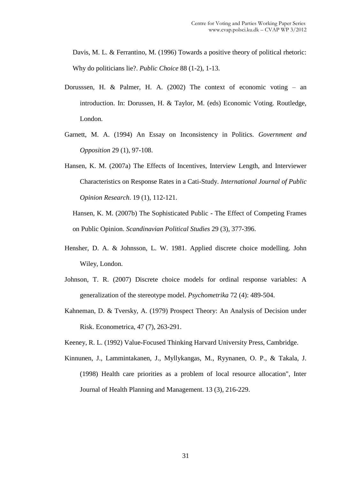Davis, M. L. & Ferrantino, M. (1996) Towards a positive theory of political rhetoric: Why do politicians lie?. *Public Choice* 88 (1-2), 1-13.

- Dorusssen, H. & Palmer, H. A. (2002) The context of economic voting an introduction. In: Dorussen, H. & Taylor, M. (eds) Economic Voting. Routledge, London.
- Garnett, M. A. (1994) An Essay on Inconsistency in Politics. *Government and Opposition* 29 (1), 97-108.
- Hansen, K. M. (2007a) The Effects of Incentives, Interview Length, and Interviewer Characteristics on Response Rates in a Cati-Study*. International Journal of Public Opinion Research*. 19 (1), 112-121.

Hansen, K. M. (2007b) The Sophisticated Public - The Effect of Competing Frames on Public Opinion. *Scandinavian Political Studies* 29 (3), 377-396.

- Hensher, D. A. & Johnsson, L. W. 1981. Applied discrete choice modelling. John Wiley, London.
- Johnson, T. R. (2007) Discrete choice models for ordinal response variables: A generalization of the stereotype model. *Psychometrika* 72 (4): 489-504.
- Kahneman, D. & Tversky, A. (1979) Prospect Theory: An Analysis of Decision under Risk. Econometrica, 47 (7), 263-291.

Keeney, R. L. (1992) Value-Focused Thinking Harvard University Press, Cambridge.

Kinnunen, J., Lammintakanen, J., Myllykangas, M., Ryynanen, O. P., & Takala, J. (1998) Health care priorities as a problem of local resource allocation", Inter Journal of Health Planning and Management. 13 (3), 216-229.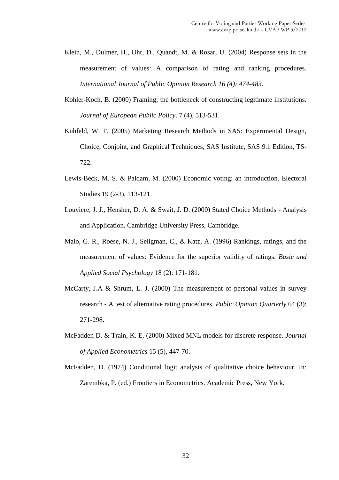- Klein, M., Dulmer, H., Ohr, D., Quandt, M. & Rosar, U. (2004) Response sets in the measurement of values: A comparison of rating and ranking procedures*. International Journal of Public Opinion Research 16 (4): 474-483.*
- Kohler-Koch, B. (2000) Framing; the bottleneck of constructing legitimate institutions. *Journal of European Public Policy*. 7 (4), 513-531.
- Kuhfeld, W. F. (2005) Marketing Research Methods in SAS: Experimental Design, Choice, Conjoint, and Graphical Techniques, SAS Institute, SAS 9.1 Edition, TS-722.
- Lewis-Beck, M. S. & Paldam, M. (2000) Economic voting: an introduction. Electoral Studies 19 (2-3), 113-121.
- Louviere, J. J., Hensher, D. A. & Swait, J. D. (2000) Stated Choice Methods Analysis and Application. Cambridge University Press, Cambridge.
- Maio, G. R., Roese, N. J., Seligman, C., & Katz, A. (1996) Rankings, ratings, and the measurement of values: Evidence for the superior validity of ratings. *Basic and Applied Social Psychology* 18 (2): 171-181.
- McCarty, J.A & Shrum, L. J. (2000) The measurement of personal values in survey research - A test of alternative rating procedures. *Public Opinion Quarterly* 64 (3): 271-298.
- McFadden D. & Train, K. E. (2000) Mixed MNL models for discrete response. *Journal of Applied Econometrics* 15 (5), 447-70.
- McFadden, D. (1974) Conditional logit analysis of qualitative choice behaviour. In: Zarembka, P. (ed.) Frontiers in Econometrics. Academic Press, New York.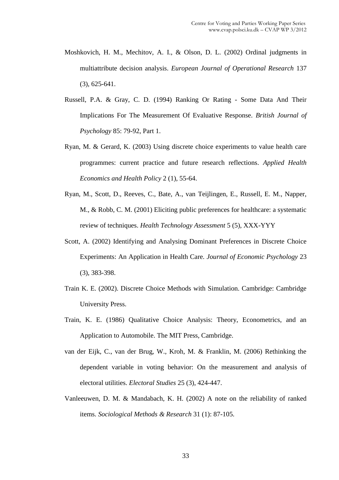- Moshkovich, H. M., Mechitov, A. I., & Olson, D. L. (2002) Ordinal judgments in multiattribute decision analysis. *European Journal of Operational Research* 137 (3), 625-641.
- Russell, P.A. & Gray, C. D. (1994) Ranking Or Rating Some Data And Their Implications For The Measurement Of Evaluative Response. *British Journal of Psychology* 85: 79-92, Part 1.
- Ryan, M. & Gerard, K. (2003) Using discrete choice experiments to value health care programmes: current practice and future research reflections. *Applied Health Economics and Health Policy* 2 (1), 55-64.
- Ryan, M., Scott, D., Reeves, C., Bate, A., van Teijlingen, E., Russell, E. M., Napper, M., & Robb, C. M. (2001) Eliciting public preferences for healthcare: a systematic review of techniques. *Health Technology Assessment* 5 (5), XXX-YYY
- Scott, A. (2002) Identifying and Analysing Dominant Preferences in Discrete Choice Experiments: An Application in Health Care. *Journal of Economic Psychology* 23 (3), 383-398.
- Train K. E. (2002). Discrete Choice Methods with Simulation. Cambridge: Cambridge University Press.
- Train, K. E. (1986) Qualitative Choice Analysis: Theory, Econometrics, and an Application to Automobile. The MIT Press, Cambridge.
- van der Eijk, C., van der Brug, W., Kroh, M. & Franklin, M. (2006) Rethinking the dependent variable in voting behavior: On the measurement and analysis of electoral utilities. *Electoral Studies* 25 (3), 424-447.
- Vanleeuwen, D. M. & Mandabach, K. H. (2002) A note on the reliability of ranked items. *Sociological Methods & Research* 31 (1): 87-105.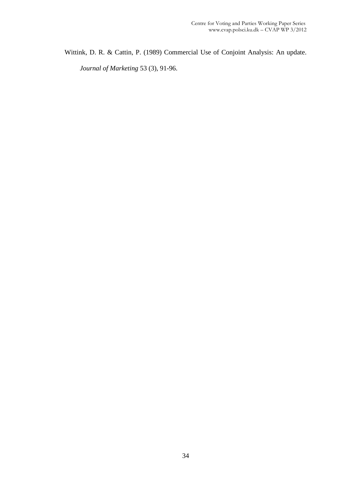Wittink, D. R. & Cattin, P. (1989) Commercial Use of Conjoint Analysis: An update. *Journal of Marketing* 53 (3), 91-96.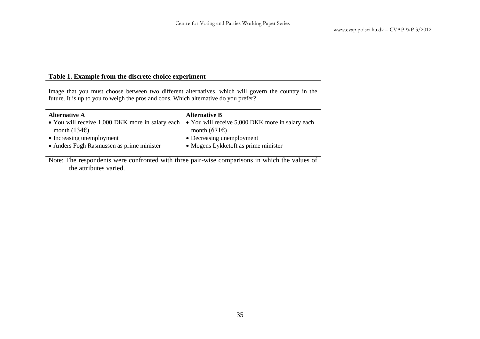#### **Table 1. Example from the discrete choice experiment**

Image that you must choose between two different alternatives, which will govern the country in the future. It is up to you to weigh the pros and cons. Which alternative do you prefer?

| <b>Alternative A</b>                                                                              | <b>Alternative B</b>                 |
|---------------------------------------------------------------------------------------------------|--------------------------------------|
| • You will receive 1,000 DKK more in salary each • You will receive 5,000 DKK more in salary each |                                      |
| month $(134)$                                                                                     | month $(671)$                        |
| • Increasing unemployment                                                                         | • Decreasing unemployment            |
| • Anders Fogh Rasmussen as prime minister                                                         | • Mogens Lykketoft as prime minister |
|                                                                                                   |                                      |

Note: The respondents were confronted with three pair-wise comparisons in which the values of the attributes varied.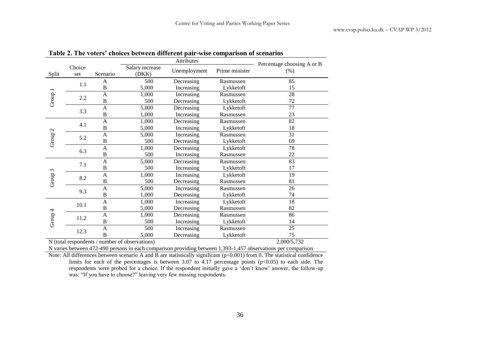|                    |                                                                       |                | Percentage choosing A or B                     |            |           |                                                                                                               |
|--------------------|-----------------------------------------------------------------------|----------------|------------------------------------------------|------------|-----------|---------------------------------------------------------------------------------------------------------------|
| Split              | Choice<br>Salary increase<br>Unemployment<br>Scenario<br>(DKK)<br>set |                | Prime minister                                 | (% )       |           |                                                                                                               |
|                    |                                                                       | A              | 500                                            | Decreasing | Rasmussen | 85                                                                                                            |
|                    | 1.1                                                                   | $\, {\bf B}$   | 5,000                                          | Increasing | Lykketoft | 15                                                                                                            |
| Group 1            |                                                                       | $\mathbf{A}$   | 1,000                                          | Increasing | Rasmussen | 28                                                                                                            |
|                    | 2.2                                                                   | $\, {\bf B}$   | 500                                            | Decreasing | Lykketoft | 72                                                                                                            |
|                    | 3.3                                                                   | $\mathbf{A}$   | 5,000                                          | Decreasing | Lykketoft | $\overline{77}$                                                                                               |
|                    |                                                                       | $\bf{B}$       | 1,000                                          | Increasing | Rasmussen | 23                                                                                                            |
|                    |                                                                       | A              | 1,000                                          | Decreasing | Rasmussen | 82                                                                                                            |
|                    | 4.1                                                                   | $\, {\bf B}$   | 5,000                                          | Increasing | Lykketoft | 18                                                                                                            |
|                    |                                                                       | $\mathbf{A}$   | 5,000                                          | Increasing | Rasmussen | 31                                                                                                            |
| Group <sub>2</sub> | 5.2                                                                   | B              | 500                                            | Decreasing | Lykketoft | 69                                                                                                            |
|                    | 6.3                                                                   | A              | 1,000                                          | Decreasing | Lykketoft | 78                                                                                                            |
|                    |                                                                       | $\, {\bf B}$   | 500                                            | Increasing | Rasmussen | 22                                                                                                            |
| Group 3            |                                                                       | A              | 5,000                                          | Decreasing | Rasmussen | $\overline{83}$                                                                                               |
|                    | 7.1                                                                   | $\, {\bf B}$   | 500                                            | Increasing | Lykketoft | 17                                                                                                            |
|                    | 8.2                                                                   | $\mathbf{A}$   | 1,000                                          | Increasing | Lykketoft | 19                                                                                                            |
|                    |                                                                       | $\, {\bf B}$   | 500                                            | Decreasing | Rasmussen | 81                                                                                                            |
|                    | 9.3                                                                   | $\mathbf{A}$   | 5,000                                          | Increasing | Rasmussen | 26                                                                                                            |
|                    |                                                                       | $\, {\bf B}$   | 1,000                                          | Decreasing | Lykketoft | 74                                                                                                            |
| Group 4            | 10.1                                                                  | A              | 1,000                                          | Increasing | Lykketoft | 18                                                                                                            |
|                    |                                                                       | B              | 5,000                                          | Decreasing | Rasmussen | 82                                                                                                            |
|                    |                                                                       | $\overline{A}$ | 1,000                                          | Decreasing | Rasmussen | 86                                                                                                            |
|                    | 11.2                                                                  | $\, {\bf B}$   | 500                                            | Increasing | Lykketoft | 14                                                                                                            |
|                    | 12.3                                                                  | $\mathbf{A}$   | 500                                            | Increasing | Rasmussen | 25                                                                                                            |
|                    |                                                                       | B              | 5,000                                          | Decreasing | Lykketoft | 75                                                                                                            |
|                    |                                                                       |                | N (total respondents / number of observations) |            |           | 2,000/5,732                                                                                                   |
|                    |                                                                       |                |                                                |            |           | N varies between 472-490 persons in each comparison providing between 1,393-1,457 observations per comparison |

|  |  | Table 2. The voters' choices between different pair-wise comparison of scenarios |  |
|--|--|----------------------------------------------------------------------------------|--|
|  |  |                                                                                  |  |

Note: All differences between scenario A and B are statistically significant  $(p<0.001)$  from 0. The statistical confidence limits for each of the percentages is between 3.07 to 4.17 percentage points  $(p<0.05)$  to each side. The respondents were probed for a choice. If the respondent initially gave a 'don't know' answer, the follow-up was: "If you have to choose?" leaving very few missing respondents.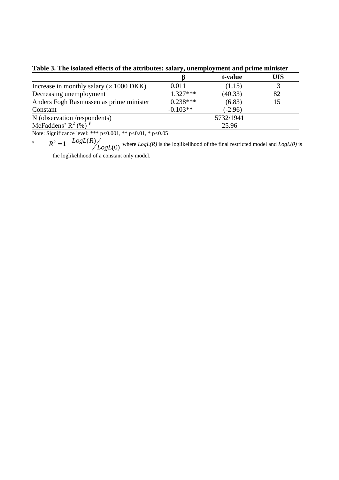|                                                          |            | t-value   | UIS |  |  |
|----------------------------------------------------------|------------|-----------|-----|--|--|
| Increase in monthly salary $(x 1000 \text{ DKK})$        | 0.011      | (1.15)    |     |  |  |
| Decreasing unemployment                                  | $1.327***$ | (40.33)   | 82  |  |  |
| Anders Fogh Rasmussen as prime minister                  | $0.238***$ | (6.83)    | 15  |  |  |
| Constant                                                 | $-0.103**$ | $(-2.96)$ |     |  |  |
| N (observation /respondents)                             | 5732/1941  |           |     |  |  |
| McFaddens' $R^2$ (%) <sup><math>\frac{4}{3}</math></sup> |            | 25.96     |     |  |  |

**Table 3. The isolated effects of the attributes: salary, unemployment and prime minister** 

Note: Significance level: \*\*\* p<0.001, \*\* p<0.01, \* p<0.05

**¥** (0)  $\frac{2}{2}$  = 1 -  $\frac{LogL(R)}{LogL}$  $R^2 = 1 - \frac{LogL(R)}{LogL(R)}$  where  $LogL(R)$  is the loglikelihood of the final restricted model and  $LogL(0)$  is

the loglikelihood of a constant only model.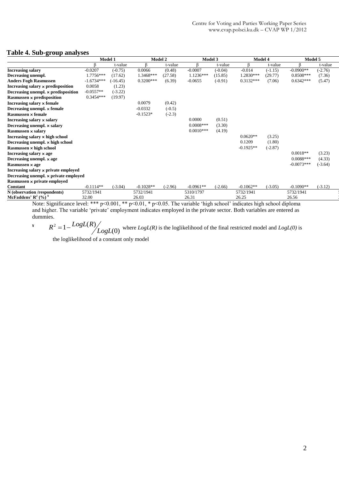#### **Table 4. Sub-group analyses**

|                                            | Model 1      |                             |                      | Model 2                            | Model 3     |           |             | Model 4       | Model 5      |           |
|--------------------------------------------|--------------|-----------------------------|----------------------|------------------------------------|-------------|-----------|-------------|---------------|--------------|-----------|
|                                            |              | t-value                     |                      | t-value                            |             | t-value   |             | t-value       |              | t-value   |
| <b>Increasing salary</b>                   | $-0.0207$    | $(-0.75)$                   | 0.0066               | (0.48)                             | $-0.0007$   | $(-0.04)$ | $-0.014$    | $(-1.15)$     | $-0.0900**$  | $(-2.76)$ |
| Decreasing unempl.                         | 1.7756***    | (17.62)                     | 1.3468***            | (27.58)                            | $1.1236***$ | (15.85)   | 1.2830***   | (29.77)       | $0.8508***$  | (7.36)    |
| <b>Anders Fogh Rasmussen</b>               | $-1.6734***$ | $(-16.45)$                  | $0.3200***$          | (6.39)                             | $-0.0655$   | $(-0.91)$ | $0.3132***$ | (7.06)        | $0.6342***$  | (5.47)    |
| Increasing salary x predisposition         | 0.0058       | (1.23)                      |                      |                                    |             |           |             |               |              |           |
| Decreasing unempl. $\times$ predisposition | $-0.0557**$  | $(-3.22)$                   |                      |                                    |             |           |             |               |              |           |
| <b>Rasmussen × predisposition</b>          | $0.3454***$  | (19.97)                     |                      |                                    |             |           |             |               |              |           |
| Increasing salary x female                 |              |                             | 0.0079               | (0.42)                             |             |           |             |               |              |           |
| Decreasing unempl. x female                |              |                             | $-0.0332$            | $(-0.5)$                           |             |           |             |               |              |           |
| Rasmussen x female                         |              |                             | $-0.1523*$           | $(-2.3)$                           |             |           |             |               |              |           |
| Increasing salary × salary                 |              |                             |                      |                                    | 0.0000      | (0.51)    |             |               |              |           |
| Decreasing unempl. x salary                |              |                             |                      |                                    | $0.0008***$ | (3.30)    |             |               |              |           |
| Rasmussen × salary                         |              |                             |                      |                                    | $0.0010***$ | (4.19)    |             |               |              |           |
| Increasing salary x high school            |              |                             |                      |                                    |             |           | $0.0620**$  | (3.25)        |              |           |
| Decreasing unempl. x high school           |              |                             |                      |                                    |             |           | 0.1209      | (1.80)        |              |           |
| Rasmussen $\times$ high school             |              |                             |                      |                                    |             |           | $-0.1925**$ | $(-2.87)$     |              |           |
| Increasing salary $\times$ age             |              |                             |                      |                                    |             |           |             |               | $0.0018**$   | (3.23)    |
| Decreasing unempl. x age                   |              |                             |                      |                                    |             |           |             |               | $0.0088***$  | (4.33)    |
| Rasmussen $\times$ age                     |              |                             |                      |                                    |             |           |             |               | $-0.0073***$ | $(-3.64)$ |
| Increasing salary x private employed       |              |                             |                      |                                    |             |           |             |               |              |           |
| Decreasing unempl. x private employed      |              |                             |                      |                                    |             |           |             |               |              |           |
| Rasmussen × private employed               |              |                             |                      |                                    |             |           |             |               |              |           |
| Constant                                   | $-0.1114**$  | $(-3.04)$                   | $-0.1028**$          | $(-2.96)$                          | $-0.0961**$ | $(-2.66)$ | $-0.1062**$ | $(-3.05)$     | $-0.1090**$  | $(-3.12)$ |
| N (observation /respondents)               | 5732/1941    |                             | 5732/1941            |                                    | 5310/1797   |           | 5732/1941   |               | 5732/1941    |           |
| McFaddens' $R^2$ (%) <sup>¥</sup>          | 32.00        |                             | 26.03                |                                    | 26.31       |           | 26.25       |               | 26.56        |           |
| $\sim$                                     |              | $\sim$ $\sim$ $\sim$ $\sim$ | $\sim$ $\sim$ $\sim$ | $\sim$ $\sim$ $\sim$ $\sim$ $\sim$ | .           | $\cdots$  | $\cdots$    | $\sim$ $\sim$ |              |           |

Note: Significance level: \*\*\* p<0.001, \*\* p<0.01, \* p<0.05. The variable 'high school' indicates high school diploma and higher. The variable 'private' employment indicates employed in the private sector. Both variables are entered as dummies.

**¥** (0)  $\frac{2}{2}$  = 1 -  $\frac{LogL(R)}{LogL}$  $R^2 = 1 - \frac{LogL(R)}{LogL(0)}$  where  $LogL(R)$  is the loglikelihood of the final restricted model and  $LogL(0)$  is

the loglikelihood of a constant only model